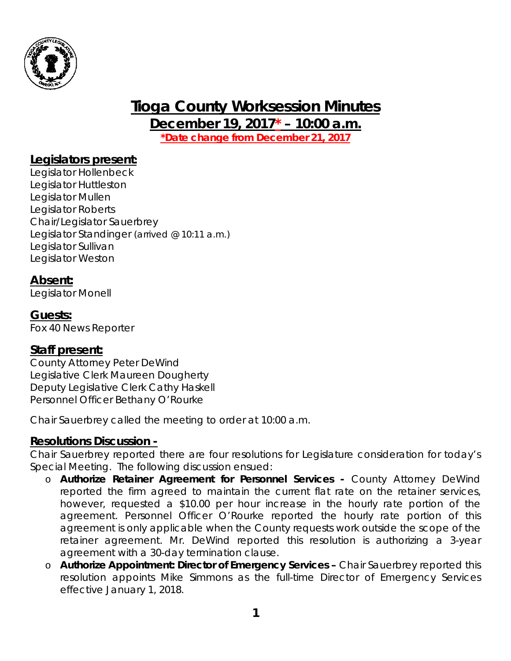

# **Tioga County Worksession Minutes**

**December 19, 2017\* – 10:00 a.m.**

*\*Date change from December 21, 2017*

## **Legislators present:**

Legislator Hollenbeck Legislator Huttleston Legislator Mullen Legislator Roberts Chair/Legislator Sauerbrey Legislator Standinger *(arrived @ 10:11 a.m.)* Legislator Sullivan Legislator Weston

## **Absent:**

Legislator Monell

### **Guests:**

Fox 40 News Reporter

### **Staff present:**

County Attorney Peter DeWind Legislative Clerk Maureen Dougherty Deputy Legislative Clerk Cathy Haskell Personnel Officer Bethany O'Rourke

Chair Sauerbrey called the meeting to order at 10:00 a.m.

### **Resolutions Discussion -**

Chair Sauerbrey reported there are four resolutions for Legislature consideration for today's Special Meeting. The following discussion ensued:

- o **Authorize Retainer Agreement for Personnel Services -** County Attorney DeWind reported the firm agreed to maintain the current flat rate on the retainer services, however, requested a \$10.00 per hour increase in the hourly rate portion of the agreement. Personnel Officer O'Rourke reported the hourly rate portion of this agreement is only applicable when the County requests work outside the scope of the retainer agreement. Mr. DeWind reported this resolution is authorizing a 3-year agreement with a 30-day termination clause.
- o **Authorize Appointment: Director of Emergency Services –** Chair Sauerbrey reported this resolution appoints Mike Simmons as the full-time Director of Emergency Services effective January 1, 2018.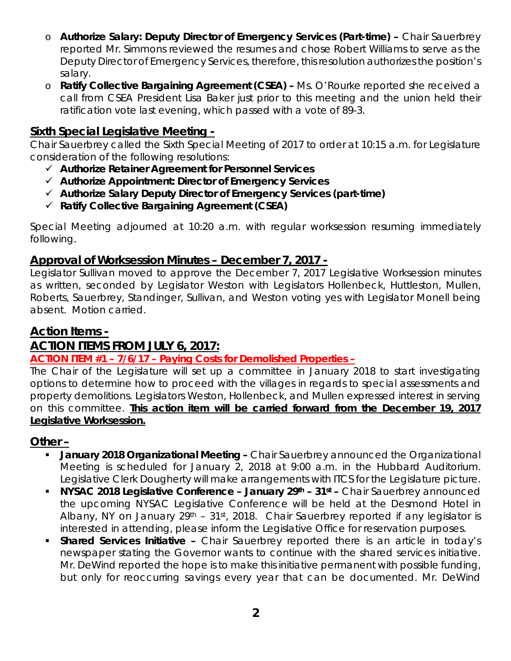- o **Authorize Salary: Deputy Director of Emergency Services (Part-time) –** Chair Sauerbrey reported Mr. Simmons reviewed the resumes and chose Robert Williams to serve as the Deputy Director of Emergency Services, therefore, this resolution authorizes the position's salary.
- o **Ratify Collective Bargaining Agreement (CSEA) –** Ms. O'Rourke reported she received a call from CSEA President Lisa Baker just prior to this meeting and the union held their ratification vote last evening, which passed with a vote of 89-3.

## **Sixth Special Legislative Meeting -**

Chair Sauerbrey called the Sixth Special Meeting of 2017 to order at 10:15 a.m. for Legislature consideration of the following resolutions:

- *Authorize Retainer Agreement for Personnel Services*
- *Authorize Appointment: Director of Emergency Services*
- *Authorize Salary Deputy Director of Emergency Services (part-time)*
- *Ratify Collective Bargaining Agreement (CSEA)*

Special Meeting adjourned at 10:20 a.m. with regular worksession resuming immediately following.

#### **Approval of Worksession Minutes – December 7, 2017 -**

Legislator Sullivan moved to approve the December 7, 2017 Legislative Worksession minutes as written, seconded by Legislator Weston with Legislators Hollenbeck, Huttleston, Mullen, Roberts, Sauerbrey, Standinger, Sullivan, and Weston voting yes with Legislator Monell being absent. Motion carried.

#### **Action Items -**

## **ACTION ITEMS FROM JULY 6, 2017:**

#### **ACTION ITEM #1 – 7/6/17 – Paying Costs for Demolished Properties –**

The Chair of the Legislature will set up a committee in January 2018 to start investigating options to determine how to proceed with the villages in regards to special assessments and property demolitions. Legislators Weston, Hollenbeck, and Mullen expressed interest in serving on this committee. **This action item will be carried forward from the December 19, 2017 Legislative Worksession.**

#### **Other –**

- **January 2018 Organizational Meeting Chair Sauerbrey announced the Organizational** Meeting is scheduled for January 2, 2018 at 9:00 a.m. in the Hubbard Auditorium. Legislative Clerk Dougherty will make arrangements with ITCS for the Legislature picture.
- **NYSAC 2018 Legislative Conference – January 29th – 31st –** Chair Sauerbrey announced the upcoming NYSAC Legislative Conference will be held at the Desmond Hotel in Albany, NY on January  $29<sup>th</sup> - 31<sup>st</sup>$ , 2018. Chair Sauerbrey reported if any legislator is interested in attending, please inform the Legislative Office for reservation purposes.
- **Shared Services Initiative –** Chair Sauerbrey reported there is an article in today's newspaper stating the Governor wants to continue with the shared services initiative. Mr. DeWind reported the hope is to make this initiative permanent with possible funding, but only for reoccurring savings every year that can be documented. Mr. DeWind